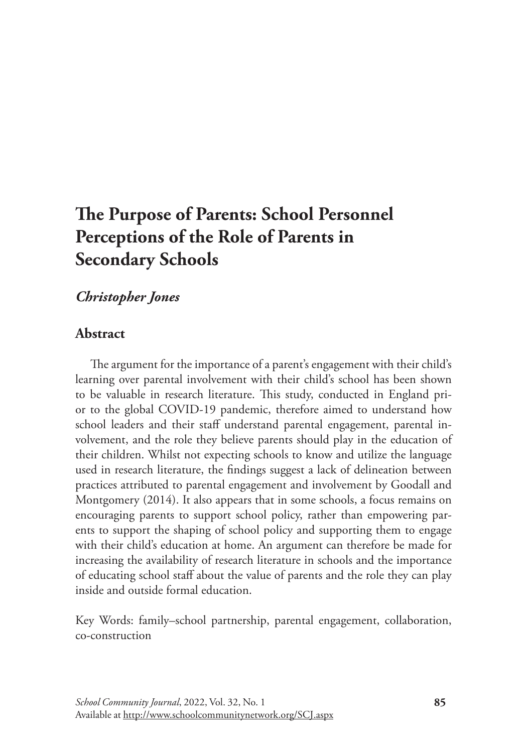# **The Purpose of Parents: School Personnel Perceptions of the Role of Parents in Secondary Schools**

# *Christopher Jones*

# **Abstract**

The argument for the importance of a parent's engagement with their child's learning over parental involvement with their child's school has been shown to be valuable in research literature. This study, conducted in England prior to the global COVID-19 pandemic, therefore aimed to understand how school leaders and their staff understand parental engagement, parental involvement, and the role they believe parents should play in the education of their children. Whilst not expecting schools to know and utilize the language used in research literature, the findings suggest a lack of delineation between practices attributed to parental engagement and involvement by Goodall and Montgomery (2014). It also appears that in some schools, a focus remains on encouraging parents to support school policy, rather than empowering parents to support the shaping of school policy and supporting them to engage with their child's education at home. An argument can therefore be made for increasing the availability of research literature in schools and the importance of educating school staff about the value of parents and the role they can play inside and outside formal education.

Key Words: family–school partnership, parental engagement, collaboration, co-construction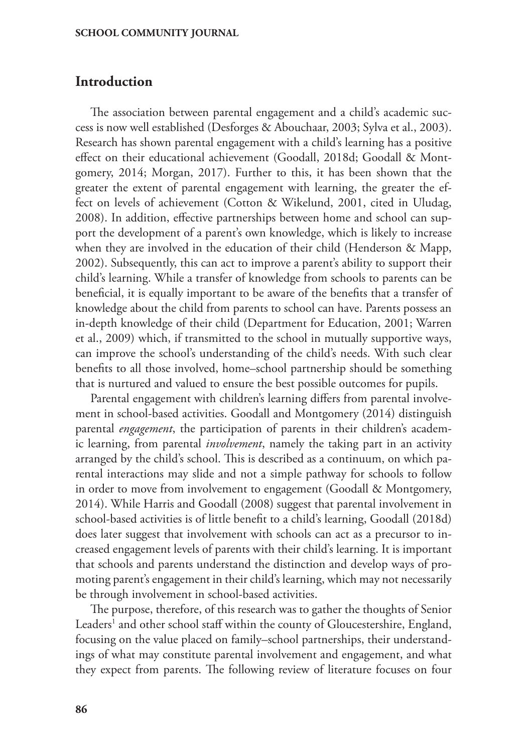# **Introduction**

The association between parental engagement and a child's academic success is now well established (Desforges & Abouchaar, 2003; Sylva et al., 2003). Research has shown parental engagement with a child's learning has a positive effect on their educational achievement (Goodall, 2018d; Goodall & Montgomery, 2014; Morgan, 2017). Further to this, it has been shown that the greater the extent of parental engagement with learning, the greater the effect on levels of achievement (Cotton & Wikelund, 2001, cited in Uludag, 2008). In addition, effective partnerships between home and school can support the development of a parent's own knowledge, which is likely to increase when they are involved in the education of their child (Henderson & Mapp, 2002). Subsequently, this can act to improve a parent's ability to support their child's learning. While a transfer of knowledge from schools to parents can be beneficial, it is equally important to be aware of the benefits that a transfer of knowledge about the child from parents to school can have. Parents possess an in-depth knowledge of their child (Department for Education, 2001; Warren et al., 2009) which, if transmitted to the school in mutually supportive ways, can improve the school's understanding of the child's needs. With such clear benefits to all those involved, home–school partnership should be something that is nurtured and valued to ensure the best possible outcomes for pupils.

Parental engagement with children's learning differs from parental involvement in school-based activities. Goodall and Montgomery (2014) distinguish parental *engagement*, the participation of parents in their children's academic learning, from parental *involvement*, namely the taking part in an activity arranged by the child's school. This is described as a continuum, on which parental interactions may slide and not a simple pathway for schools to follow in order to move from involvement to engagement (Goodall & Montgomery, 2014). While Harris and Goodall (2008) suggest that parental involvement in school-based activities is of little benefit to a child's learning, Goodall (2018d) does later suggest that involvement with schools can act as a precursor to increased engagement levels of parents with their child's learning. It is important that schools and parents understand the distinction and develop ways of promoting parent's engagement in their child's learning, which may not necessarily be through involvement in school-based activities.

The purpose, therefore, of this research was to gather the thoughts of Senior Leaders<sup>1</sup> and other school staff within the county of Gloucestershire, England, focusing on the value placed on family–school partnerships, their understandings of what may constitute parental involvement and engagement, and what they expect from parents. The following review of literature focuses on four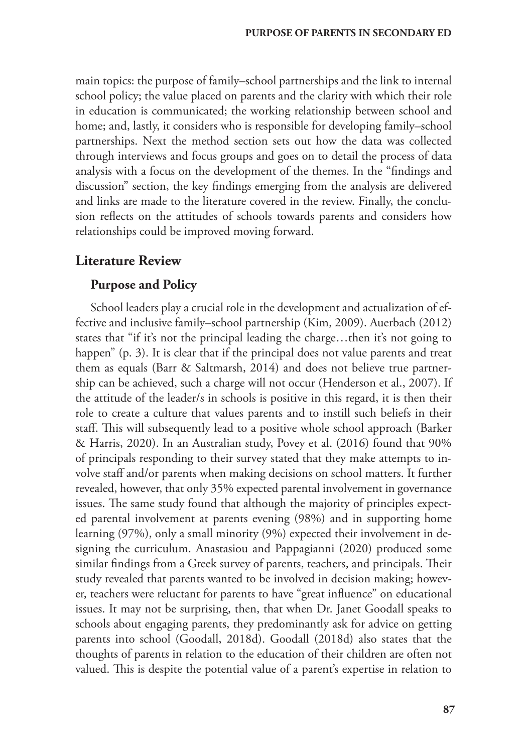main topics: the purpose of family–school partnerships and the link to internal school policy; the value placed on parents and the clarity with which their role in education is communicated; the working relationship between school and home; and, lastly, it considers who is responsible for developing family–school partnerships. Next the method section sets out how the data was collected through interviews and focus groups and goes on to detail the process of data analysis with a focus on the development of the themes. In the "findings and discussion" section, the key findings emerging from the analysis are delivered and links are made to the literature covered in the review. Finally, the conclusion reflects on the attitudes of schools towards parents and considers how relationships could be improved moving forward.

## **Literature Review**

### **Purpose and Policy**

School leaders play a crucial role in the development and actualization of effective and inclusive family–school partnership (Kim, 2009). Auerbach (2012) states that "if it's not the principal leading the charge…then it's not going to happen" (p. 3). It is clear that if the principal does not value parents and treat them as equals (Barr & Saltmarsh, 2014) and does not believe true partnership can be achieved, such a charge will not occur (Henderson et al., 2007). If the attitude of the leader/s in schools is positive in this regard, it is then their role to create a culture that values parents and to instill such beliefs in their staff. This will subsequently lead to a positive whole school approach (Barker & Harris, 2020). In an Australian study, Povey et al. (2016) found that 90% of principals responding to their survey stated that they make attempts to involve staff and/or parents when making decisions on school matters. It further revealed, however, that only 35% expected parental involvement in governance issues. The same study found that although the majority of principles expected parental involvement at parents evening (98%) and in supporting home learning (97%), only a small minority (9%) expected their involvement in designing the curriculum. Anastasiou and Pappagianni (2020) produced some similar findings from a Greek survey of parents, teachers, and principals. Their study revealed that parents wanted to be involved in decision making; however, teachers were reluctant for parents to have "great influence" on educational issues. It may not be surprising, then, that when Dr. Janet Goodall speaks to schools about engaging parents, they predominantly ask for advice on getting parents into school (Goodall, 2018d). Goodall (2018d) also states that the thoughts of parents in relation to the education of their children are often not valued. This is despite the potential value of a parent's expertise in relation to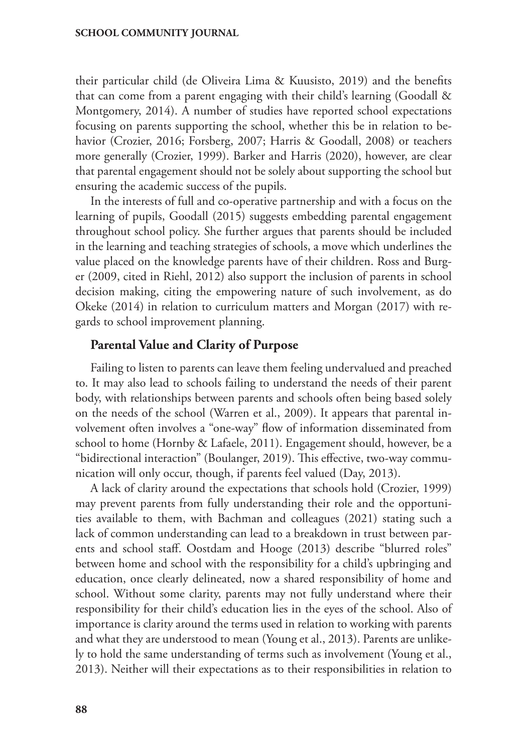their particular child (de Oliveira Lima & Kuusisto, 2019) and the benefits that can come from a parent engaging with their child's learning (Goodall & Montgomery, 2014). A number of studies have reported school expectations focusing on parents supporting the school, whether this be in relation to behavior (Crozier, 2016; Forsberg, 2007; Harris & Goodall, 2008) or teachers more generally (Crozier, 1999). Barker and Harris (2020), however, are clear that parental engagement should not be solely about supporting the school but ensuring the academic success of the pupils.

In the interests of full and co-operative partnership and with a focus on the learning of pupils, Goodall (2015) suggests embedding parental engagement throughout school policy. She further argues that parents should be included in the learning and teaching strategies of schools, a move which underlines the value placed on the knowledge parents have of their children. Ross and Burger (2009, cited in Riehl, 2012) also support the inclusion of parents in school decision making, citing the empowering nature of such involvement, as do Okeke (2014) in relation to curriculum matters and Morgan (2017) with regards to school improvement planning.

## **Parental Value and Clarity of Purpose**

Failing to listen to parents can leave them feeling undervalued and preached to. It may also lead to schools failing to understand the needs of their parent body, with relationships between parents and schools often being based solely on the needs of the school (Warren et al., 2009). It appears that parental involvement often involves a "one-way" flow of information disseminated from school to home (Hornby & Lafaele, 2011). Engagement should, however, be a "bidirectional interaction" (Boulanger, 2019). This effective, two-way communication will only occur, though, if parents feel valued (Day, 2013).

A lack of clarity around the expectations that schools hold (Crozier, 1999) may prevent parents from fully understanding their role and the opportunities available to them, with Bachman and colleagues (2021) stating such a lack of common understanding can lead to a breakdown in trust between parents and school staff. Oostdam and Hooge (2013) describe "blurred roles" between home and school with the responsibility for a child's upbringing and education, once clearly delineated, now a shared responsibility of home and school. Without some clarity, parents may not fully understand where their responsibility for their child's education lies in the eyes of the school. Also of importance is clarity around the terms used in relation to working with parents and what they are understood to mean (Young et al., 2013). Parents are unlikely to hold the same understanding of terms such as involvement (Young et al., 2013). Neither will their expectations as to their responsibilities in relation to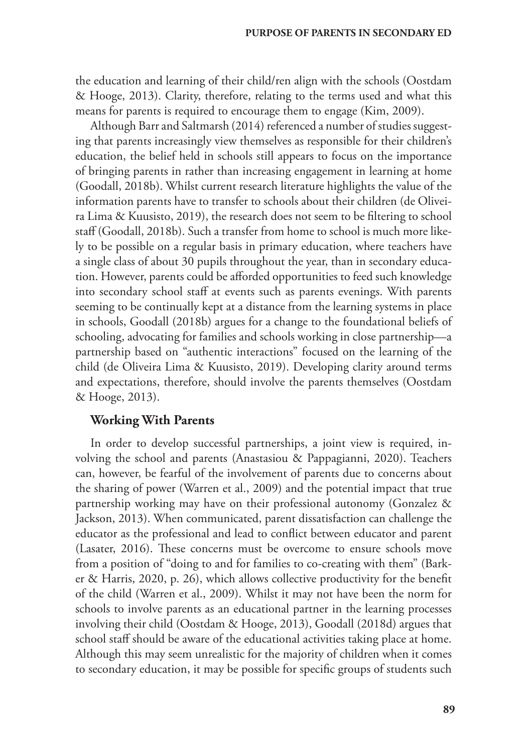the education and learning of their child/ren align with the schools (Oostdam & Hooge, 2013). Clarity, therefore, relating to the terms used and what this means for parents is required to encourage them to engage (Kim, 2009).

Although Barr and Saltmarsh (2014) referenced a number of studies suggesting that parents increasingly view themselves as responsible for their children's education, the belief held in schools still appears to focus on the importance of bringing parents in rather than increasing engagement in learning at home (Goodall, 2018b). Whilst current research literature highlights the value of the information parents have to transfer to schools about their children (de Oliveira Lima & Kuusisto, 2019), the research does not seem to be filtering to school staff (Goodall, 2018b). Such a transfer from home to school is much more likely to be possible on a regular basis in primary education, where teachers have a single class of about 30 pupils throughout the year, than in secondary education. However, parents could be afforded opportunities to feed such knowledge into secondary school staff at events such as parents evenings. With parents seeming to be continually kept at a distance from the learning systems in place in schools, Goodall (2018b) argues for a change to the foundational beliefs of schooling, advocating for families and schools working in close partnership—a partnership based on "authentic interactions" focused on the learning of the child (de Oliveira Lima & Kuusisto, 2019). Developing clarity around terms and expectations, therefore, should involve the parents themselves (Oostdam & Hooge, 2013).

# **Working With Parents**

In order to develop successful partnerships, a joint view is required, involving the school and parents (Anastasiou & Pappagianni, 2020). Teachers can, however, be fearful of the involvement of parents due to concerns about the sharing of power (Warren et al., 2009) and the potential impact that true partnership working may have on their professional autonomy (Gonzalez & Jackson, 2013). When communicated, parent dissatisfaction can challenge the educator as the professional and lead to conflict between educator and parent (Lasater, 2016). These concerns must be overcome to ensure schools move from a position of "doing to and for families to co-creating with them" (Barker & Harris, 2020, p. 26), which allows collective productivity for the benefit of the child (Warren et al., 2009). Whilst it may not have been the norm for schools to involve parents as an educational partner in the learning processes involving their child (Oostdam & Hooge, 2013), Goodall (2018d) argues that school staff should be aware of the educational activities taking place at home. Although this may seem unrealistic for the majority of children when it comes to secondary education, it may be possible for specific groups of students such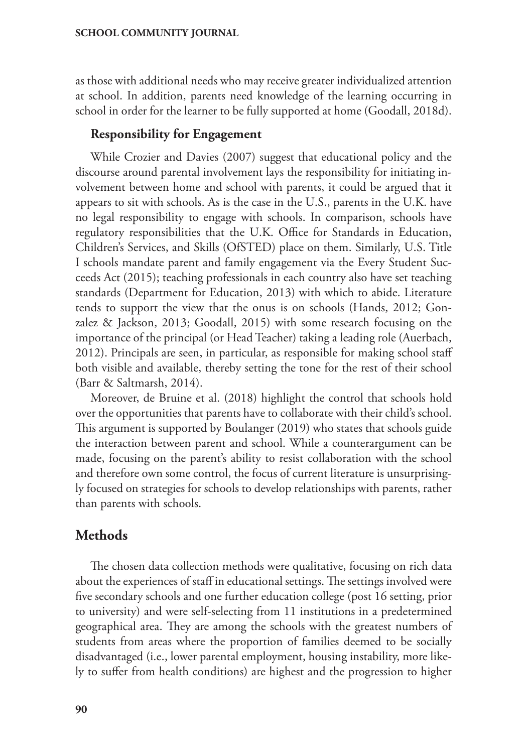as those with additional needs who may receive greater individualized attention at school. In addition, parents need knowledge of the learning occurring in school in order for the learner to be fully supported at home (Goodall, 2018d).

## **Responsibility for Engagement**

While Crozier and Davies (2007) suggest that educational policy and the discourse around parental involvement lays the responsibility for initiating involvement between home and school with parents, it could be argued that it appears to sit with schools. As is the case in the U.S., parents in the U.K. have no legal responsibility to engage with schools. In comparison, schools have regulatory responsibilities that the U.K. Office for Standards in Education, Children's Services, and Skills (OfSTED) place on them. Similarly, U.S. Title I schools mandate parent and family engagement via the Every Student Succeeds Act (2015); teaching professionals in each country also have set teaching standards (Department for Education, 2013) with which to abide. Literature tends to support the view that the onus is on schools (Hands, 2012; Gonzalez & Jackson, 2013; Goodall, 2015) with some research focusing on the importance of the principal (or Head Teacher) taking a leading role (Auerbach, 2012). Principals are seen, in particular, as responsible for making school staff both visible and available, thereby setting the tone for the rest of their school (Barr & Saltmarsh, 2014).

Moreover, de Bruine et al. (2018) highlight the control that schools hold over the opportunities that parents have to collaborate with their child's school. This argument is supported by Boulanger (2019) who states that schools guide the interaction between parent and school. While a counterargument can be made, focusing on the parent's ability to resist collaboration with the school and therefore own some control, the focus of current literature is unsurprisingly focused on strategies for schools to develop relationships with parents, rather than parents with schools.

# **Methods**

The chosen data collection methods were qualitative, focusing on rich data about the experiences of staff in educational settings. The settings involved were five secondary schools and one further education college (post 16 setting, prior to university) and were self-selecting from 11 institutions in a predetermined geographical area. They are among the schools with the greatest numbers of students from areas where the proportion of families deemed to be socially disadvantaged (i.e., lower parental employment, housing instability, more likely to suffer from health conditions) are highest and the progression to higher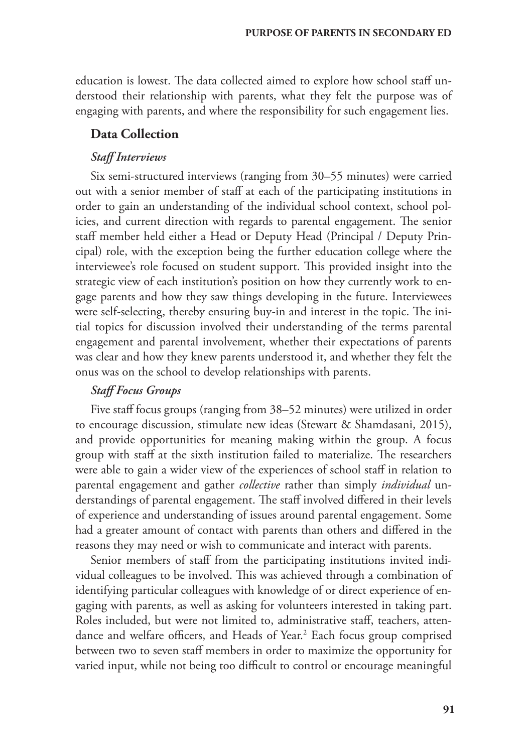education is lowest. The data collected aimed to explore how school staff understood their relationship with parents, what they felt the purpose was of engaging with parents, and where the responsibility for such engagement lies.

## **Data Collection**

## *Staff Interviews*

Six semi-structured interviews (ranging from 30–55 minutes) were carried out with a senior member of staff at each of the participating institutions in order to gain an understanding of the individual school context, school policies, and current direction with regards to parental engagement. The senior staff member held either a Head or Deputy Head (Principal / Deputy Principal) role, with the exception being the further education college where the interviewee's role focused on student support. This provided insight into the strategic view of each institution's position on how they currently work to engage parents and how they saw things developing in the future. Interviewees were self-selecting, thereby ensuring buy-in and interest in the topic. The initial topics for discussion involved their understanding of the terms parental engagement and parental involvement, whether their expectations of parents was clear and how they knew parents understood it, and whether they felt the onus was on the school to develop relationships with parents.

## *Staff Focus Groups*

Five staff focus groups (ranging from 38–52 minutes) were utilized in order to encourage discussion, stimulate new ideas (Stewart & Shamdasani, 2015), and provide opportunities for meaning making within the group. A focus group with staff at the sixth institution failed to materialize. The researchers were able to gain a wider view of the experiences of school staff in relation to parental engagement and gather *collective* rather than simply *individual* understandings of parental engagement. The staff involved differed in their levels of experience and understanding of issues around parental engagement. Some had a greater amount of contact with parents than others and differed in the reasons they may need or wish to communicate and interact with parents.

Senior members of staff from the participating institutions invited individual colleagues to be involved. This was achieved through a combination of identifying particular colleagues with knowledge of or direct experience of engaging with parents, as well as asking for volunteers interested in taking part. Roles included, but were not limited to, administrative staff, teachers, attendance and welfare officers, and Heads of Year.<sup>2</sup> Each focus group comprised between two to seven staff members in order to maximize the opportunity for varied input, while not being too difficult to control or encourage meaningful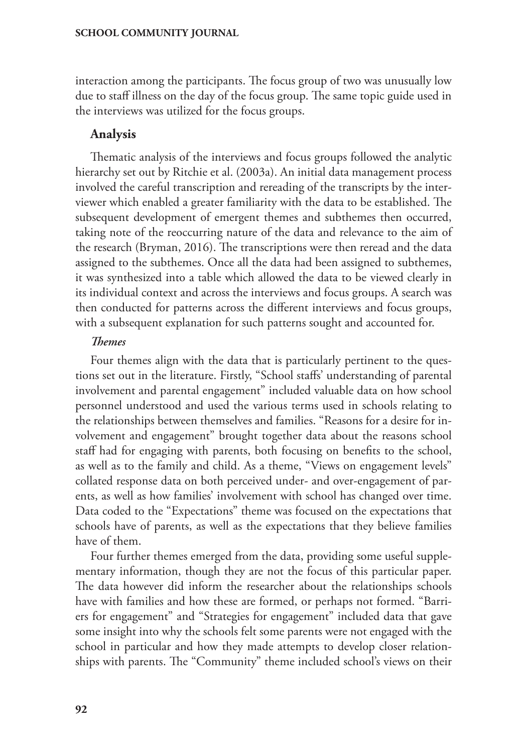interaction among the participants. The focus group of two was unusually low due to staff illness on the day of the focus group. The same topic guide used in the interviews was utilized for the focus groups.

# **Analysis**

Thematic analysis of the interviews and focus groups followed the analytic hierarchy set out by Ritchie et al. (2003a). An initial data management process involved the careful transcription and rereading of the transcripts by the interviewer which enabled a greater familiarity with the data to be established. The subsequent development of emergent themes and subthemes then occurred, taking note of the reoccurring nature of the data and relevance to the aim of the research (Bryman, 2016). The transcriptions were then reread and the data assigned to the subthemes. Once all the data had been assigned to subthemes, it was synthesized into a table which allowed the data to be viewed clearly in its individual context and across the interviews and focus groups. A search was then conducted for patterns across the different interviews and focus groups, with a subsequent explanation for such patterns sought and accounted for.

## *Themes*

Four themes align with the data that is particularly pertinent to the questions set out in the literature. Firstly, "School staffs' understanding of parental involvement and parental engagement" included valuable data on how school personnel understood and used the various terms used in schools relating to the relationships between themselves and families. "Reasons for a desire for involvement and engagement" brought together data about the reasons school staff had for engaging with parents, both focusing on benefits to the school, as well as to the family and child. As a theme, "Views on engagement levels" collated response data on both perceived under- and over-engagement of parents, as well as how families' involvement with school has changed over time. Data coded to the "Expectations" theme was focused on the expectations that schools have of parents, as well as the expectations that they believe families have of them.

Four further themes emerged from the data, providing some useful supplementary information, though they are not the focus of this particular paper. The data however did inform the researcher about the relationships schools have with families and how these are formed, or perhaps not formed. "Barriers for engagement" and "Strategies for engagement" included data that gave some insight into why the schools felt some parents were not engaged with the school in particular and how they made attempts to develop closer relationships with parents. The "Community" theme included school's views on their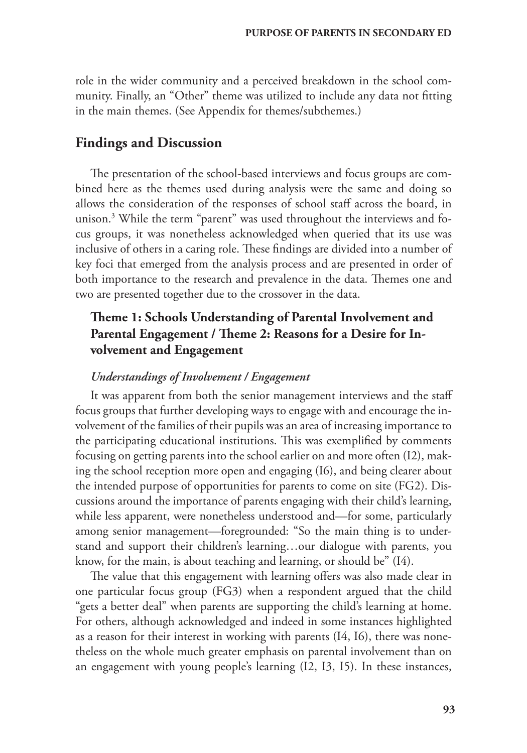role in the wider community and a perceived breakdown in the school community. Finally, an "Other" theme was utilized to include any data not fitting in the main themes. (See Appendix for themes/subthemes.)

## **Findings and Discussion**

The presentation of the school-based interviews and focus groups are combined here as the themes used during analysis were the same and doing so allows the consideration of the responses of school staff across the board, in unison.3 While the term "parent" was used throughout the interviews and focus groups, it was nonetheless acknowledged when queried that its use was inclusive of others in a caring role. These findings are divided into a number of key foci that emerged from the analysis process and are presented in order of both importance to the research and prevalence in the data. Themes one and two are presented together due to the crossover in the data.

# **Theme 1: Schools Understanding of Parental Involvement and Parental Engagement / Theme 2: Reasons for a Desire for Involvement and Engagement**

### *Understandings of Involvement / Engagement*

It was apparent from both the senior management interviews and the staff focus groups that further developing ways to engage with and encourage the involvement of the families of their pupils was an area of increasing importance to the participating educational institutions. This was exemplified by comments focusing on getting parents into the school earlier on and more often (I2), making the school reception more open and engaging (I6), and being clearer about the intended purpose of opportunities for parents to come on site (FG2). Discussions around the importance of parents engaging with their child's learning, while less apparent, were nonetheless understood and—for some, particularly among senior management—foregrounded: "So the main thing is to understand and support their children's learning…our dialogue with parents, you know, for the main, is about teaching and learning, or should be" (I4).

The value that this engagement with learning offers was also made clear in one particular focus group (FG3) when a respondent argued that the child "gets a better deal" when parents are supporting the child's learning at home. For others, although acknowledged and indeed in some instances highlighted as a reason for their interest in working with parents (I4, I6), there was nonetheless on the whole much greater emphasis on parental involvement than on an engagement with young people's learning (I2, I3, I5). In these instances,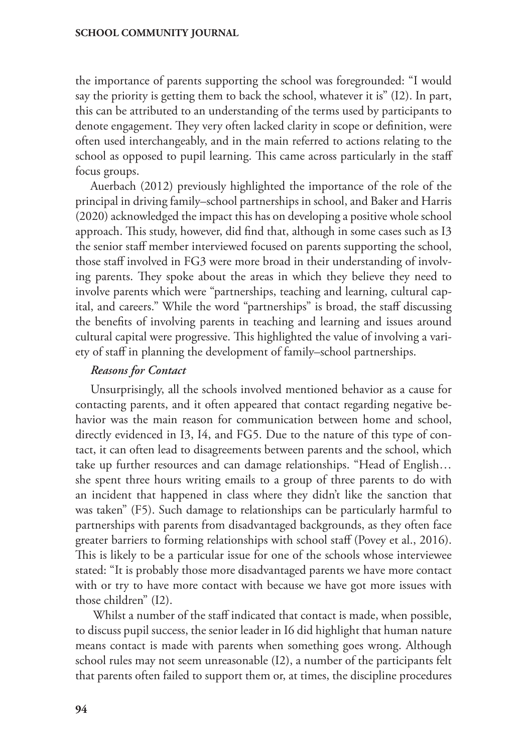the importance of parents supporting the school was foregrounded: "I would say the priority is getting them to back the school, whatever it is" (I2). In part, this can be attributed to an understanding of the terms used by participants to denote engagement. They very often lacked clarity in scope or definition, were often used interchangeably, and in the main referred to actions relating to the school as opposed to pupil learning. This came across particularly in the staff focus groups.

Auerbach (2012) previously highlighted the importance of the role of the principal in driving family–school partnerships in school, and Baker and Harris (2020) acknowledged the impact this has on developing a positive whole school approach. This study, however, did find that, although in some cases such as I3 the senior staff member interviewed focused on parents supporting the school, those staff involved in FG3 were more broad in their understanding of involving parents. They spoke about the areas in which they believe they need to involve parents which were "partnerships, teaching and learning, cultural capital, and careers." While the word "partnerships" is broad, the staff discussing the benefits of involving parents in teaching and learning and issues around cultural capital were progressive. This highlighted the value of involving a variety of staff in planning the development of family–school partnerships.

## *Reasons for Contact*

Unsurprisingly, all the schools involved mentioned behavior as a cause for contacting parents, and it often appeared that contact regarding negative behavior was the main reason for communication between home and school, directly evidenced in I3, I4, and FG5. Due to the nature of this type of contact, it can often lead to disagreements between parents and the school, which take up further resources and can damage relationships. "Head of English… she spent three hours writing emails to a group of three parents to do with an incident that happened in class where they didn't like the sanction that was taken" (F5). Such damage to relationships can be particularly harmful to partnerships with parents from disadvantaged backgrounds, as they often face greater barriers to forming relationships with school staff (Povey et al., 2016). This is likely to be a particular issue for one of the schools whose interviewee stated: "It is probably those more disadvantaged parents we have more contact with or try to have more contact with because we have got more issues with those children" (I2).

 Whilst a number of the staff indicated that contact is made, when possible, to discuss pupil success, the senior leader in I6 did highlight that human nature means contact is made with parents when something goes wrong. Although school rules may not seem unreasonable (I2), a number of the participants felt that parents often failed to support them or, at times, the discipline procedures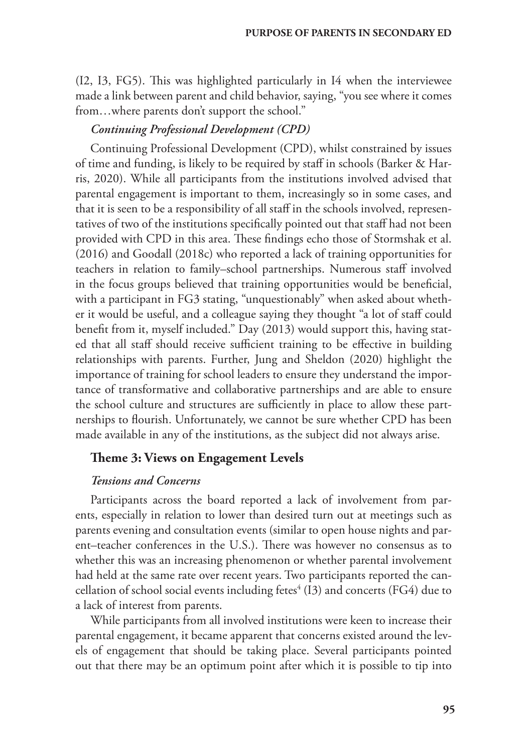(I2, I3, FG5). This was highlighted particularly in I4 when the interviewee made a link between parent and child behavior, saying, "you see where it comes from…where parents don't support the school."

### *Continuing Professional Development (CPD)*

Continuing Professional Development (CPD), whilst constrained by issues of time and funding, is likely to be required by staff in schools (Barker & Harris, 2020). While all participants from the institutions involved advised that parental engagement is important to them, increasingly so in some cases, and that it is seen to be a responsibility of all staff in the schools involved, representatives of two of the institutions specifically pointed out that staff had not been provided with CPD in this area. These findings echo those of Stormshak et al. (2016) and Goodall (2018c) who reported a lack of training opportunities for teachers in relation to family–school partnerships. Numerous staff involved in the focus groups believed that training opportunities would be beneficial, with a participant in FG3 stating, "unquestionably" when asked about whether it would be useful, and a colleague saying they thought "a lot of staff could benefit from it, myself included." Day (2013) would support this, having stated that all staff should receive sufficient training to be effective in building relationships with parents. Further, Jung and Sheldon (2020) highlight the importance of training for school leaders to ensure they understand the importance of transformative and collaborative partnerships and are able to ensure the school culture and structures are sufficiently in place to allow these partnerships to flourish. Unfortunately, we cannot be sure whether CPD has been made available in any of the institutions, as the subject did not always arise.

# **Theme 3: Views on Engagement Levels**

### *Tensions and Concerns*

Participants across the board reported a lack of involvement from parents, especially in relation to lower than desired turn out at meetings such as parents evening and consultation events (similar to open house nights and parent–teacher conferences in the U.S.). There was however no consensus as to whether this was an increasing phenomenon or whether parental involvement had held at the same rate over recent years. Two participants reported the cancellation of school social events including fetes $\mathrm{^{4}}$  (I3) and concerts (FG4) due to a lack of interest from parents.

While participants from all involved institutions were keen to increase their parental engagement, it became apparent that concerns existed around the levels of engagement that should be taking place. Several participants pointed out that there may be an optimum point after which it is possible to tip into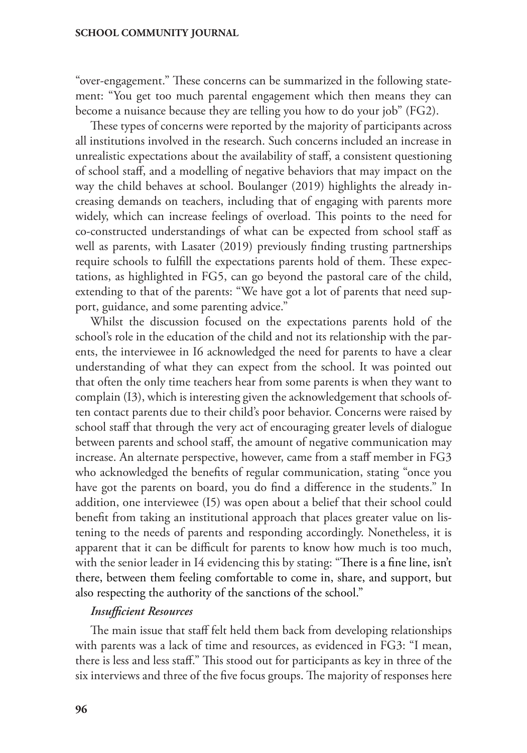"over-engagement." These concerns can be summarized in the following statement: "You get too much parental engagement which then means they can become a nuisance because they are telling you how to do your job" (FG2).

These types of concerns were reported by the majority of participants across all institutions involved in the research. Such concerns included an increase in unrealistic expectations about the availability of staff, a consistent questioning of school staff, and a modelling of negative behaviors that may impact on the way the child behaves at school. Boulanger (2019) highlights the already increasing demands on teachers, including that of engaging with parents more widely, which can increase feelings of overload. This points to the need for co-constructed understandings of what can be expected from school staff as well as parents, with Lasater (2019) previously finding trusting partnerships require schools to fulfill the expectations parents hold of them. These expectations, as highlighted in FG5, can go beyond the pastoral care of the child, extending to that of the parents: "We have got a lot of parents that need support, guidance, and some parenting advice."

Whilst the discussion focused on the expectations parents hold of the school's role in the education of the child and not its relationship with the parents, the interviewee in I6 acknowledged the need for parents to have a clear understanding of what they can expect from the school. It was pointed out that often the only time teachers hear from some parents is when they want to complain (I3), which is interesting given the acknowledgement that schools often contact parents due to their child's poor behavior. Concerns were raised by school staff that through the very act of encouraging greater levels of dialogue between parents and school staff, the amount of negative communication may increase. An alternate perspective, however, came from a staff member in FG3 who acknowledged the benefits of regular communication, stating "once you have got the parents on board, you do find a difference in the students." In addition, one interviewee (I5) was open about a belief that their school could benefit from taking an institutional approach that places greater value on listening to the needs of parents and responding accordingly. Nonetheless, it is apparent that it can be difficult for parents to know how much is too much, with the senior leader in I4 evidencing this by stating: "There is a fine line, isn't there, between them feeling comfortable to come in, share, and support, but also respecting the authority of the sanctions of the school."

### *Insufficient Resources*

The main issue that staff felt held them back from developing relationships with parents was a lack of time and resources, as evidenced in FG3: "I mean, there is less and less staff." This stood out for participants as key in three of the six interviews and three of the five focus groups. The majority of responses here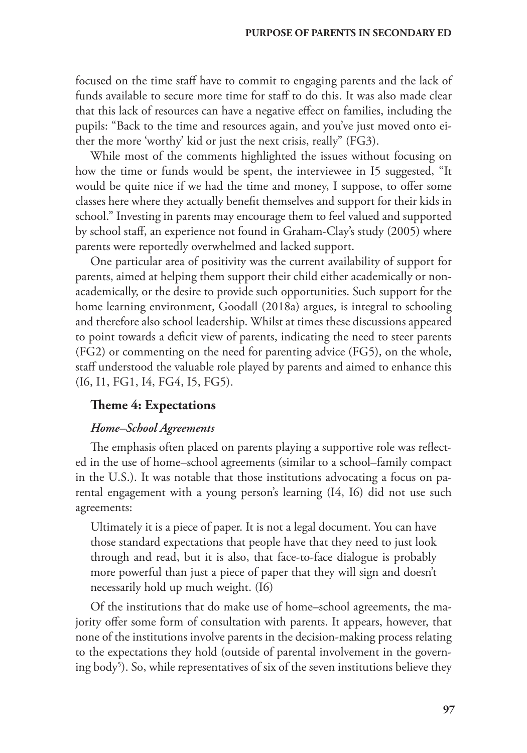focused on the time staff have to commit to engaging parents and the lack of funds available to secure more time for staff to do this. It was also made clear that this lack of resources can have a negative effect on families, including the pupils: "Back to the time and resources again, and you've just moved onto either the more 'worthy' kid or just the next crisis, really" (FG3).

While most of the comments highlighted the issues without focusing on how the time or funds would be spent, the interviewee in I5 suggested, "It would be quite nice if we had the time and money, I suppose, to offer some classes here where they actually benefit themselves and support for their kids in school." Investing in parents may encourage them to feel valued and supported by school staff, an experience not found in Graham-Clay's study (2005) where parents were reportedly overwhelmed and lacked support.

One particular area of positivity was the current availability of support for parents, aimed at helping them support their child either academically or nonacademically, or the desire to provide such opportunities. Such support for the home learning environment, Goodall (2018a) argues, is integral to schooling and therefore also school leadership. Whilst at times these discussions appeared to point towards a deficit view of parents, indicating the need to steer parents (FG2) or commenting on the need for parenting advice (FG5), on the whole, staff understood the valuable role played by parents and aimed to enhance this (I6, I1, FG1, I4, FG4, I5, FG5).

### **Theme 4: Expectations**

## *Home–School Agreements*

The emphasis often placed on parents playing a supportive role was reflected in the use of home–school agreements (similar to a school–family compact in the U.S.). It was notable that those institutions advocating a focus on parental engagement with a young person's learning (I4, I6) did not use such agreements:

Ultimately it is a piece of paper. It is not a legal document. You can have those standard expectations that people have that they need to just look through and read, but it is also, that face-to-face dialogue is probably more powerful than just a piece of paper that they will sign and doesn't necessarily hold up much weight. (I6)

Of the institutions that do make use of home–school agreements, the majority offer some form of consultation with parents. It appears, however, that none of the institutions involve parents in the decision-making process relating to the expectations they hold (outside of parental involvement in the governing body<sup>5</sup>). So, while representatives of six of the seven institutions believe they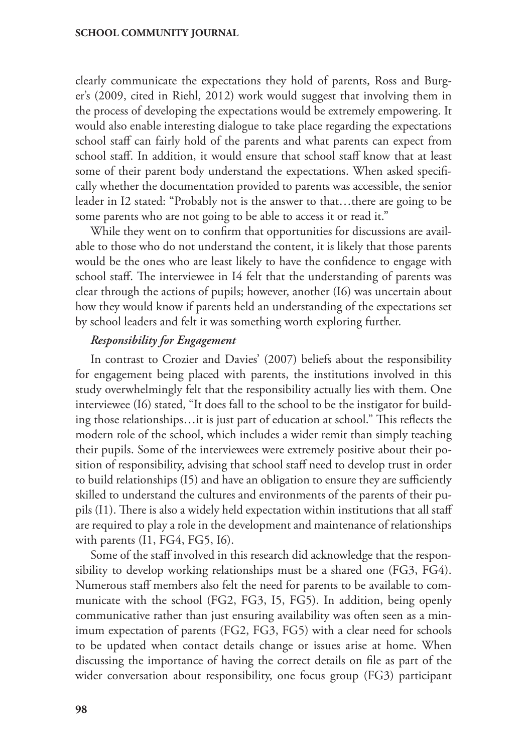clearly communicate the expectations they hold of parents, Ross and Burger's (2009, cited in Riehl, 2012) work would suggest that involving them in the process of developing the expectations would be extremely empowering. It would also enable interesting dialogue to take place regarding the expectations school staff can fairly hold of the parents and what parents can expect from school staff. In addition, it would ensure that school staff know that at least some of their parent body understand the expectations. When asked specifically whether the documentation provided to parents was accessible, the senior leader in I2 stated: "Probably not is the answer to that…there are going to be some parents who are not going to be able to access it or read it."

While they went on to confirm that opportunities for discussions are available to those who do not understand the content, it is likely that those parents would be the ones who are least likely to have the confidence to engage with school staff. The interviewee in I4 felt that the understanding of parents was clear through the actions of pupils; however, another (I6) was uncertain about how they would know if parents held an understanding of the expectations set by school leaders and felt it was something worth exploring further.

## *Responsibility for Engagement*

In contrast to Crozier and Davies' (2007) beliefs about the responsibility for engagement being placed with parents, the institutions involved in this study overwhelmingly felt that the responsibility actually lies with them. One interviewee (I6) stated, "It does fall to the school to be the instigator for building those relationships…it is just part of education at school." This reflects the modern role of the school, which includes a wider remit than simply teaching their pupils. Some of the interviewees were extremely positive about their position of responsibility, advising that school staff need to develop trust in order to build relationships (I5) and have an obligation to ensure they are sufficiently skilled to understand the cultures and environments of the parents of their pupils (I1). There is also a widely held expectation within institutions that all staff are required to play a role in the development and maintenance of relationships with parents (I1, FG4, FG5, I6).

Some of the staff involved in this research did acknowledge that the responsibility to develop working relationships must be a shared one (FG3, FG4). Numerous staff members also felt the need for parents to be available to communicate with the school (FG2, FG3, I5, FG5). In addition, being openly communicative rather than just ensuring availability was often seen as a minimum expectation of parents (FG2, FG3, FG5) with a clear need for schools to be updated when contact details change or issues arise at home. When discussing the importance of having the correct details on file as part of the wider conversation about responsibility, one focus group (FG3) participant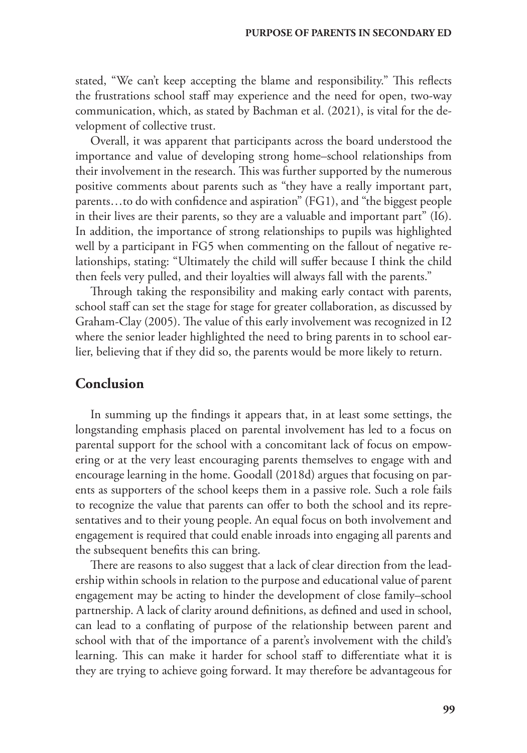stated, "We can't keep accepting the blame and responsibility." This reflects the frustrations school staff may experience and the need for open, two-way communication, which, as stated by Bachman et al. (2021), is vital for the development of collective trust.

Overall, it was apparent that participants across the board understood the importance and value of developing strong home–school relationships from their involvement in the research. This was further supported by the numerous positive comments about parents such as "they have a really important part, parents…to do with confidence and aspiration" (FG1), and "the biggest people in their lives are their parents, so they are a valuable and important part" (I6). In addition, the importance of strong relationships to pupils was highlighted well by a participant in FG5 when commenting on the fallout of negative relationships, stating: "Ultimately the child will suffer because I think the child then feels very pulled, and their loyalties will always fall with the parents."

Through taking the responsibility and making early contact with parents, school staff can set the stage for stage for greater collaboration, as discussed by Graham-Clay (2005). The value of this early involvement was recognized in I2 where the senior leader highlighted the need to bring parents in to school earlier, believing that if they did so, the parents would be more likely to return.

## **Conclusion**

In summing up the findings it appears that, in at least some settings, the longstanding emphasis placed on parental involvement has led to a focus on parental support for the school with a concomitant lack of focus on empowering or at the very least encouraging parents themselves to engage with and encourage learning in the home. Goodall (2018d) argues that focusing on parents as supporters of the school keeps them in a passive role. Such a role fails to recognize the value that parents can offer to both the school and its representatives and to their young people. An equal focus on both involvement and engagement is required that could enable inroads into engaging all parents and the subsequent benefits this can bring.

There are reasons to also suggest that a lack of clear direction from the leadership within schools in relation to the purpose and educational value of parent engagement may be acting to hinder the development of close family–school partnership. A lack of clarity around definitions, as defined and used in school, can lead to a conflating of purpose of the relationship between parent and school with that of the importance of a parent's involvement with the child's learning. This can make it harder for school staff to differentiate what it is they are trying to achieve going forward. It may therefore be advantageous for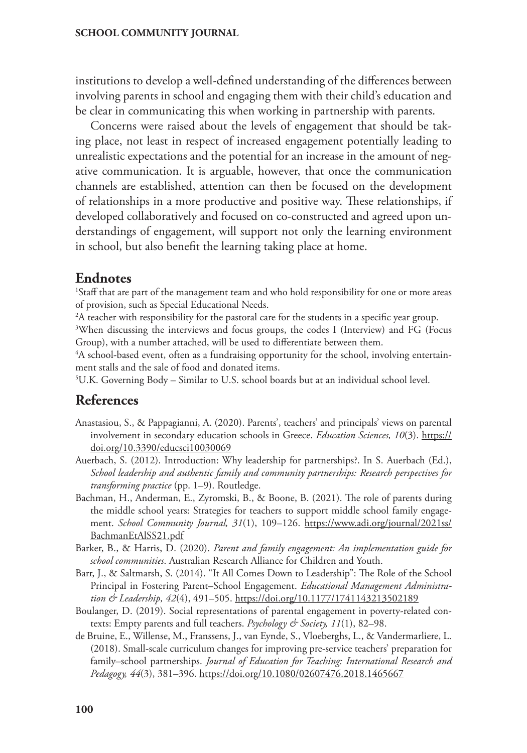institutions to develop a well-defined understanding of the differences between involving parents in school and engaging them with their child's education and be clear in communicating this when working in partnership with parents.

Concerns were raised about the levels of engagement that should be taking place, not least in respect of increased engagement potentially leading to unrealistic expectations and the potential for an increase in the amount of negative communication. It is arguable, however, that once the communication channels are established, attention can then be focused on the development of relationships in a more productive and positive way. These relationships, if developed collaboratively and focused on co-constructed and agreed upon understandings of engagement, will support not only the learning environment in school, but also benefit the learning taking place at home.

## **Endnotes**

<sup>1</sup>Staff that are part of the management team and who hold responsibility for one or more areas of provision, such as Special Educational Needs.

 $2A$  teacher with responsibility for the pastoral care for the students in a specific year group.

<sup>3</sup>When discussing the interviews and focus groups, the codes I (Interview) and FG (Focus Group), with a number attached, will be used to differentiate between them.

<sup>4</sup>A school-based event, often as a fundraising opportunity for the school, involving entertainment stalls and the sale of food and donated items.

5 U.K. Governing Body – Similar to U.S. school boards but at an individual school level.

# **References**

- Anastasiou, S., & Pappagianni, A. (2020). Parents', teachers' and principals' views on parental involvement in secondary education schools in Greece. *Education Sciences, 10*(3). [https://](https://doi.org/10.3390/educsci10030069) [doi.org/10.3390/educsci10030069](https://doi.org/10.3390/educsci10030069)
- Auerbach, S. (2012). Introduction: Why leadership for partnerships?. In S. Auerbach (Ed.), *School leadership and authentic family and community partnerships: Research perspectives for transforming practice* (pp. 1–9). Routledge.
- Bachman, H., Anderman, E., Zyromski, B., & Boone, B. (2021). The role of parents during the middle school years: Strategies for teachers to support middle school family engagement. *School Community Journal, 31*(1), 109–126. [https://www.adi.org/journal/2021ss/](https://www.adi.org/journal/2021ss/BachmanEtAlSS21.pdf) [BachmanEtAlSS21.pdf](https://www.adi.org/journal/2021ss/BachmanEtAlSS21.pdf)
- Barker, B., & Harris, D. (2020). *Parent and family engagement: An implementation guide for school communities*. Australian Research Alliance for Children and Youth.
- Barr, J., & Saltmarsh, S. (2014). "It All Comes Down to Leadership": The Role of the School Principal in Fostering Parent–School Engagement. *Educational Management Administration & Leadership, 42*(4), 491–505. [https://doi.org/10.1177/1741143213502189](https://doi.org/10.1177%2F1741143213502189)
- Boulanger, D. (2019). Social representations of parental engagement in poverty-related contexts: Empty parents and full teachers. *Psychology & Society, 11*(1), 82–98.
- de Bruine, E., Willense, M., Franssens, J., van Eynde, S., Vloeberghs, L., & Vandermarliere, L. (2018). Small-scale curriculum changes for improving pre-service teachers' preparation for family–school partnerships. *Journal of Education for Teaching: International Research and Pedagogy, 44*(3), 381–396. <https://doi.org/10.1080/02607476.2018.1465667>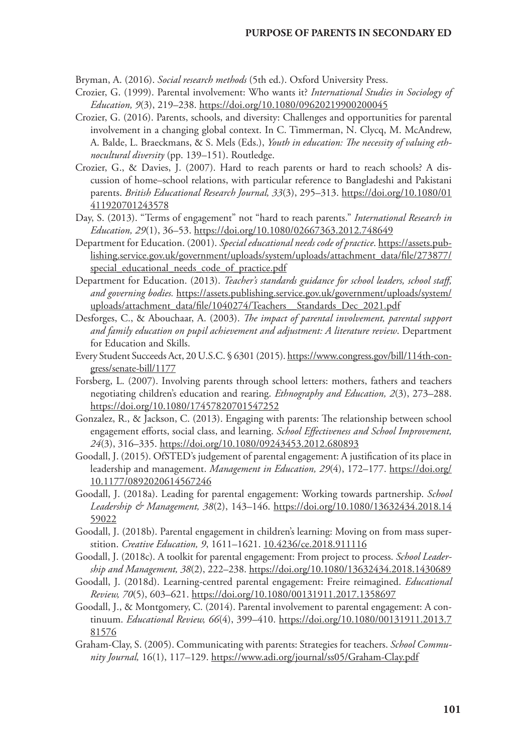Bryman, A. (2016). *Social research methods* (5th ed.). Oxford University Press.

- Crozier, G. (1999). Parental involvement: Who wants it? *International Studies in Sociology of Education, 9*(3), 219–238. <https://doi.org/10.1080/09620219900200045>
- Crozier, G. (2016). Parents, schools, and diversity: Challenges and opportunities for parental involvement in a changing global context. In C. Timmerman, N. Clycq, M. McAndrew, A. Balde, L. Braeckmans, & S. Mels (Eds.), *Youth in education: The necessity of valuing ethnocultural diversity* (pp. 139–151). Routledge.
- Crozier, G., & Davies, J. (2007). Hard to reach parents or hard to reach schools? A discussion of home–school relations, with particular reference to Bangladeshi and Pakistani parents. British Educational Research Journal, 33(3), 295-313. [https://doi.org/10.1080/01](https://doi.org/10.1080/01411920701243578) [411920701243578](https://doi.org/10.1080/01411920701243578)
- Day, S. (2013). "Terms of engagement" not "hard to reach parents." *International Research in Education, 29*(1), 36–53. <https://doi.org/10.1080/02667363.2012.748649>
- Department for Education. (2001). *Special educational needs code of practice*. [https://assets.pub](https://assets.publishing.service.gov.uk/government/uploads/system/uploads/attachment_data/file/273877/special_educational_needs_code_of_practice.pdf)[lishing.service.gov.uk/government/uploads/system/uploads/attachment\\_data/file/273877/](https://assets.publishing.service.gov.uk/government/uploads/system/uploads/attachment_data/file/273877/special_educational_needs_code_of_practice.pdf) [special\\_educational\\_needs\\_code\\_of\\_practice.pdf](https://assets.publishing.service.gov.uk/government/uploads/system/uploads/attachment_data/file/273877/special_educational_needs_code_of_practice.pdf)
- Department for Education. (2013). *Teacher's standards guidance for school leaders, school staff, and governing bodies.* [https://assets.publishing.service.gov.uk/government/uploads/system/](https://assets.publishing.service.gov.uk/government/uploads/system/uploads/attachment_data/file/1040274/Teachers__Standards_Dec_2021.pdf) uploads/attachment\_data/file/1040274/Teachers\_Standards\_Dec\_2021.pdf
- Desforges, C., & Abouchaar, A. (2003). *The impact of parental involvement, parental support and family education on pupil achievement and adjustment: A literature review*. Department for Education and Skills.
- Every Student Succeeds Act, 20 U.S.C. § 6301 (2015). [https://www.congress.gov/bill/114th-con](https://www.congress.gov/bill/114th-congress/senate-bill/1177)[gress/senate-bill/1177](https://www.congress.gov/bill/114th-congress/senate-bill/1177)
- Forsberg, L. (2007). Involving parents through school letters: mothers, fathers and teachers negotiating children's education and rearing. *Ethnography and Education, 2*(3), 273–288. <https://doi.org/10.1080/17457820701547252>
- Gonzalez, R., & Jackson, C. (2013). Engaging with parents: The relationship between school engagement efforts, social class, and learning. *School Effectiveness and School Improvement, 24*(3), 316–335. <https://doi.org/10.1080/09243453.2012.680893>
- Goodall, J. (2015). OfSTED's judgement of parental engagement: A justification of its place in leadership and management. *Management in Education, 29*(4), 172–177. [https://doi.org/](https://doi.org/10.1177%2F0892020614567246) [10.1177/0892020614567246](https://doi.org/10.1177%2F0892020614567246)
- Goodall, J. (2018a). Leading for parental engagement: Working towards partnership. *School Leadership & Management, 38*(2), 143–146. [https://doi.org/10.1080/13632434.2018.14](https://doi.org/10.1080/13632434.2018.1459022) [59022](https://doi.org/10.1080/13632434.2018.1459022)
- Goodall, J. (2018b). Parental engagement in children's learning: Moving on from mass superstition. *Creative Education, 9*, 1611–1621. 10.4236/ce.2018.911116
- Goodall, J. (2018c). A toolkit for parental engagement: From project to process. *School Leadership and Management, 38*(2), 222–238.<https://doi.org/10.1080/13632434.2018.1430689>
- Goodall, J. (2018d). Learning-centred parental engagement: Freire reimagined. *Educational Review, 70*(5), 603–621.<https://doi.org/10.1080/00131911.2017.1358697>
- Goodall, J., & Montgomery, C. (2014). Parental involvement to parental engagement: A continuum. *Educational Review, 66*(4), 399–410. [https://doi.org/10.1080/00131911.2013.7](https://doi.org/10.1080/00131911.2013.781576) [81576](https://doi.org/10.1080/00131911.2013.781576)
- Graham-Clay, S. (2005). Communicating with parents: Strategies for teachers. *School Community Journal,* 16(1), 117–129.<https://www.adi.org/journal/ss05/Graham-Clay.pdf>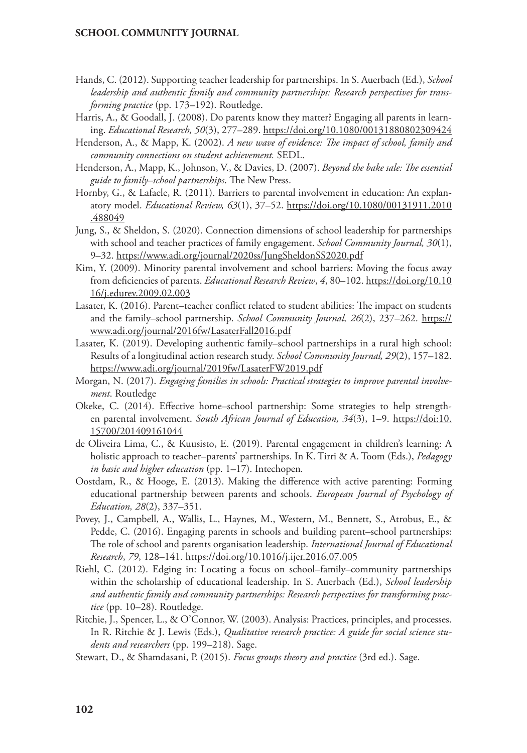- Hands, C. (2012). Supporting teacher leadership for partnerships. In S. Auerbach (Ed.), *School leadership and authentic family and community partnerships: Research perspectives for transforming practice* (pp. 173–192). Routledge.
- Harris, A., & Goodall, J. (2008). Do parents know they matter? Engaging all parents in learning. *Educational Research, 50*(3), 277–289. <https://doi.org/10.1080/00131880802309424>
- Henderson, A., & Mapp, K. (2002). *A new wave of evidence: The impact of school, family and community connections on student achievement.* SEDL.
- Henderson, A., Mapp, K., Johnson, V., & Davies, D. (2007). *Beyond the bake sale: The essential guide to family–school partnerships*. The New Press.
- Hornby, G., & Lafaele, R. (2011). Barriers to parental involvement in education: An explanatory model. *Educational Review, 63*(1), 37–52. [https://doi.org/10.1080/00131911.2010](https://doi.org/10.1080/00131911.2010.488049) [.488049](https://doi.org/10.1080/00131911.2010.488049)
- Jung, S., & Sheldon, S. (2020). Connection dimensions of school leadership for partnerships with school and teacher practices of family engagement. *School Community Journal, 30*(1), 9–32.<https://www.adi.org/journal/2020ss/JungSheldonSS2020.pdf>
- Kim, Y. (2009). Minority parental involvement and school barriers: Moving the focus away from deficiencies of parents. *Educational Research Review*, *4*, 80–102. [https://doi.org/10.10](https://doi.org/10.1016/j.edurev.2009.02.003) [16/j.edurev.2009.02.003](https://doi.org/10.1016/j.edurev.2009.02.003)
- Lasater, K. (2016). Parent–teacher conflict related to student abilities: The impact on students and the family–school partnership. *School Community Journal, 26*(2), 237–262. [https://](https://www.adi.org/journal/2016fw/LasaterFall2016.pdf) [www.adi.org/journal/2016fw/LasaterFall2016.pdf](https://www.adi.org/journal/2016fw/LasaterFall2016.pdf)
- Lasater, K. (2019). Developing authentic family–school partnerships in a rural high school: Results of a longitudinal action research study. *School Community Journal, 29*(2), 157–182. <https://www.adi.org/journal/2019fw/LasaterFW2019.pdf>
- Morgan, N. (2017). *Engaging families in schools: Practical strategies to improve parental involvement*. Routledge
- Okeke, C. (2014). Effective home–school partnership: Some strategies to help strengthen parental involvement. *South African Journal of Education*, 34(3), 1-9. https://doi:[10.](https://doi.org/10.15700/201409161044) [15700/201409161044](https://doi.org/10.15700/201409161044)
- de Oliveira Lima, C., & Kuusisto, E. (2019). Parental engagement in children's learning: A holistic approach to teacher–parents' partnerships. In K. Tirri & A. Toom (Eds.), *Pedagogy in basic and higher education* (pp. 1–17). Intechopen*.*
- Oostdam, R., & Hooge, E. (2013). Making the difference with active parenting: Forming educational partnership between parents and schools. *European Journal of Psychology of Education, 28*(2), 337–351.
- Povey, J., Campbell, A., Wallis, L., Haynes, M., Western, M., Bennett, S., Atrobus, E., & Pedde, C. (2016). Engaging parents in schools and building parent–school partnerships: The role of school and parents organisation leadership. *International Journal of Educational Research*, *79*, 128–141.<https://doi.org/10.1016/j.ijer.2016.07.005>
- Riehl, C. (2012). Edging in: Locating a focus on school–family–community partnerships within the scholarship of educational leadership. In S. Auerbach (Ed.), *School leadership and authentic family and community partnerships: Research perspectives for transforming practice* (pp. 10–28). Routledge.
- Ritchie, J., Spencer, L., & O'Connor, W. (2003). Analysis: Practices, principles, and processes. In R. Ritchie & J. Lewis (Eds.), *Qualitative research practice: A guide for social science students and researchers* (pp. 199–218). Sage.
- Stewart, D., & Shamdasani, P. (2015). *Focus groups theory and practice* (3rd ed.). Sage.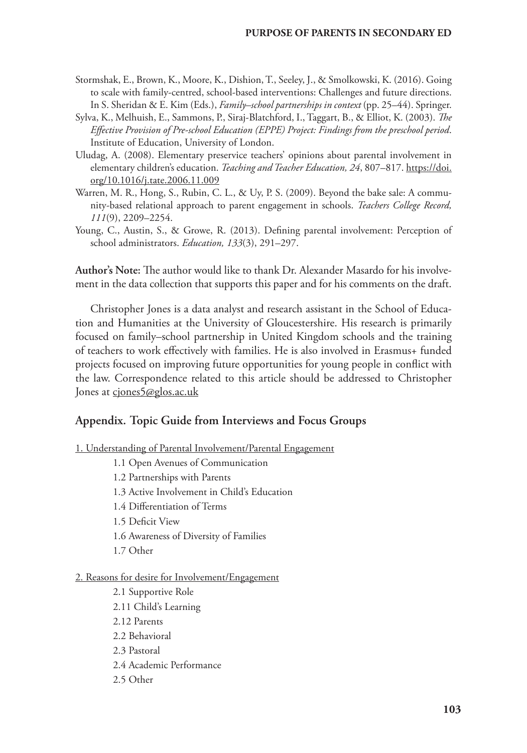- Stormshak, E., Brown, K., Moore, K., Dishion, T., Seeley, J., & Smolkowski, K. (2016). Going to scale with family-centred, school-based interventions: Challenges and future directions. In S. Sheridan & E. Kim (Eds.), *Family–school partnerships in context* (pp. 25–44). Springer.
- Sylva, K., Melhuish, E., Sammons, P., Siraj-Blatchford, I., Taggart, B., & Elliot, K. (2003). *The Effective Provision of Pre-school Education (EPPE) Project: Findings from the preschool period*. Institute of Education, University of London.
- Uludag, A. (2008). Elementary preservice teachers' opinions about parental involvement in elementary children's education. *Teaching and Teacher Education, 24*, 807–817. [https://doi.](https://doi.org/10.1016/j.tate.2006.11.009) [org/10.1016/j.tate.2006.11.009](https://doi.org/10.1016/j.tate.2006.11.009)
- Warren, M. R., Hong, S., Rubin, C. L., & Uy, P. S. (2009). Beyond the bake sale: A community-based relational approach to parent engagement in schools. *Teachers College Record, 111*(9), 2209–2254.
- Young, C., Austin, S., & Growe, R. (2013). Defining parental involvement: Perception of school administrators. *Education, 133*(3), 291–297.

**Author's Note:** The author would like to thank Dr. Alexander Masardo for his involvement in the data collection that supports this paper and for his comments on the draft.

Christopher Jones is a data analyst and research assistant in the School of Education and Humanities at the University of Gloucestershire. His research is primarily focused on family–school partnership in United Kingdom schools and the training of teachers to work effectively with families. He is also involved in Erasmus+ funded projects focused on improving future opportunities for young people in conflict with the law. Correspondence related to this article should be addressed to Christopher Jones at [cjones5@glos.ac.uk](mailto:cjones5@glos.ac.uk)

## **Appendix. Topic Guide from Interviews and Focus Groups**

- 1. Understanding of Parental Involvement/Parental Engagement
	- 1.1 Open Avenues of Communication
	- 1.2 Partnerships with Parents
	- 1.3 Active Involvement in Child's Education
	- 1.4 Differentiation of Terms
	- 1.5 Deficit View
	- 1.6 Awareness of Diversity of Families
	- 1.7 Other

#### 2. Reasons for desire for Involvement/Engagement

2.1 Supportive Role 2.11 Child's Learning 2.12 Parents 2.2 Behavioral 2.3 Pastoral 2.4 Academic Performance 2.5 Other